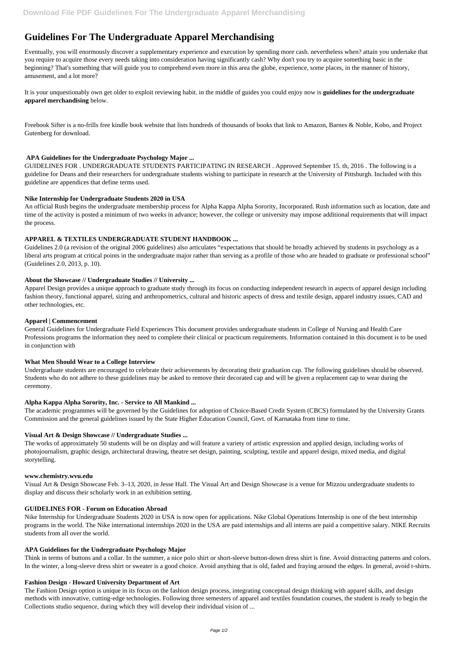# **Guidelines For The Undergraduate Apparel Merchandising**

Eventually, you will enormously discover a supplementary experience and execution by spending more cash. nevertheless when? attain you undertake that you require to acquire those every needs taking into consideration having significantly cash? Why don't you try to acquire something basic in the beginning? That's something that will guide you to comprehend even more in this area the globe, experience, some places, in the manner of history, amusement, and a lot more?

Freebook Sifter is a no-frills free kindle book website that lists hundreds of thousands of books that link to Amazon, Barnes & Noble, Kobo, and Project Gutenberg for download.

It is your unquestionably own get older to exploit reviewing habit. in the middle of guides you could enjoy now is **guidelines for the undergraduate apparel merchandising** below.

## **APA Guidelines for the Undergraduate Psychology Major ...**

GUIDELINES FOR . UNDERGRADUATE STUDENTS PARTICIPATING IN RESEARCH . Approved September 15. th, 2016 . The following is a guideline for Deans and their researchers for undergraduate students wishing to participate in research at the University of Pittsburgh. Included with this guideline are appendices that define terms used.

# **Nike Internship for Undergraduate Students 2020 in USA**

An official Rush begins the undergraduate membership process for Alpha Kappa Alpha Sorority, Incorporated. Rush information such as location, date and time of the activity is posted a minimum of two weeks in advance; however, the college or university may impose additional requirements that will impact the process.

# **APPAREL & TEXTILES UNDERGRADUATE STUDENT HANDBOOK ...**

Guidelines 2.0 (a revision of the original 2006 guidelines) also articulates "expectations that should be broadly achieved by students in psychology as a liberal arts program at critical points in the undergraduate major rather than serving as a profile of those who are headed to graduate or professional school" (Guidelines 2.0, 2013, p. 10).

## **About the Showcase // Undergraduate Studies // University ...**

Apparel Design provides a unique approach to graduate study through its focus on conducting independent research in aspects of apparel design including fashion theory, functional apparel, sizing and anthropometrics, cultural and historic aspects of dress and textile design, apparel industry issues, CAD and other technologies, etc.

## **Apparel | Commencement**

General Guidelines for Undergraduate Field Experiences This document provides undergraduate students in College of Nursing and Health Care Professions programs the information they need to complete their clinical or practicum requirements. Information contained in this document is to be used in conjunction with

## **What Men Should Wear to a College Interview**

Undergraduate students are encouraged to celebrate their achievements by decorating their graduation cap. The following guidelines should be observed. Students who do not adhere to these guidelines may be asked to remove their decorated cap and will be given a replacement cap to wear during the ceremony.

## **Alpha Kappa Alpha Sorority, Inc. - Service to All Mankind ...**

The academic programmes will be governed by the Guidelines for adoption of Choice-Based Credit System (CBCS) formulated by the University Grants Commission and the general guidelines issued by the State Higher Education Council, Govt. of Karnataka from time to time.

## **Visual Art & Design Showcase // Undergraduate Studies ...**

The works of approximately 50 students will be on display and will feature a variety of artistic expression and applied design, including works of photojournalism, graphic design, architectural drawing, theatre set design, painting, sculpting, textile and apparel design, mixed media, and digital storytelling.

## **www.chemistry.wvu.edu**

Visual Art & Design Showcase Feb. 3–13, 2020, in Jesse Hall. The Visual Art and Design Showcase is a venue for Mizzou undergraduate students to

display and discuss their scholarly work in an exhibition setting.

#### **GUIDELINES FOR - Forum on Education Abroad**

Nike Internship for Undergraduate Students 2020 in USA is now open for applications. Nike Global Operations Internship is one of the best internship programs in the world. The Nike international internships 2020 in the USA are paid internships and all interns are paid a competitive salary. NIKE Recruits students from all over the world.

#### **APA Guidelines for the Undergraduate Psychology Major**

Think in terms of buttons and a collar. In the summer, a nice polo shirt or short-sleeve button-down dress shirt is fine. Avoid distracting patterns and colors. In the winter, a long-sleeve dress shirt or sweater is a good choice. Avoid anything that is old, faded and fraying around the edges. In general, avoid t-shirts.

### **Fashion Design - Howard University Department of Art**

The Fashion Design option is unique in its focus on the fashion design process, integrating conceptual design thinking with apparel skills, and design methods with innovative, cutting-edge technologies. Following three semesters of apparel and textiles foundation courses, the student is ready to begin the Collections studio sequence, during which they will develop their individual vision of ...